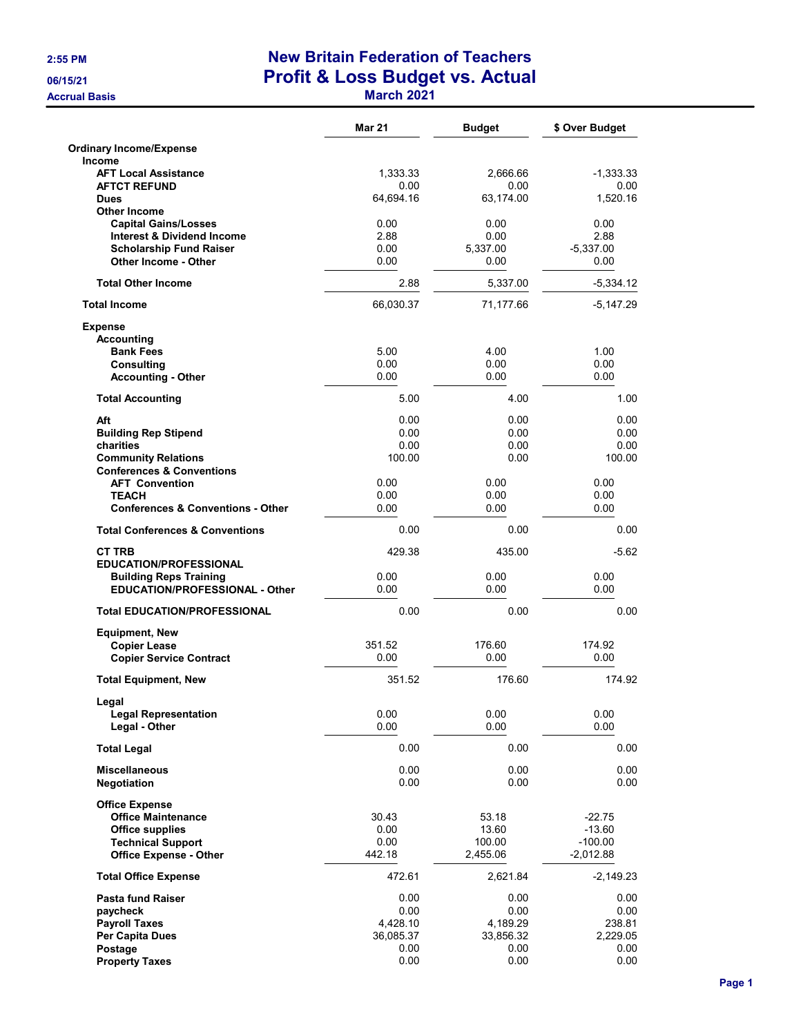**Accrual Basis** 

# 2:55 PM New Britain Federation of Teachers 06/15/21 Profit & Loss Budget vs. Actual

|  |  | <b>March 2021</b> |
|--|--|-------------------|
|  |  |                   |

|                                                                    | <b>Mar 21</b>     | <b>Budget</b>     | \$ Over Budget        |
|--------------------------------------------------------------------|-------------------|-------------------|-----------------------|
| <b>Ordinary Income/Expense</b>                                     |                   |                   |                       |
| <b>Income</b><br><b>AFT Local Assistance</b>                       | 1,333.33          | 2.666.66          | -1,333.33             |
| <b>AFTCT REFUND</b>                                                | 0.00              | 0.00              | 0.00                  |
| <b>Dues</b><br><b>Other Income</b>                                 | 64,694.16         | 63.174.00         | 1,520.16              |
| <b>Capital Gains/Losses</b>                                        | 0.00              | 0.00              | 0.00                  |
| <b>Interest &amp; Dividend Income</b>                              | 2.88              | 0.00              | 2.88                  |
| <b>Scholarship Fund Raiser</b><br><b>Other Income - Other</b>      | 0.00<br>0.00      | 5,337.00<br>0.00  | $-5,337.00$<br>0.00   |
| <b>Total Other Income</b>                                          | 2.88              | 5,337.00          | $-5,334.12$           |
| <b>Total Income</b>                                                | 66,030.37         | 71,177.66         | -5,147.29             |
| <b>Expense</b>                                                     |                   |                   |                       |
| <b>Accounting</b>                                                  |                   |                   |                       |
| <b>Bank Fees</b><br><b>Consulting</b>                              | 5.00<br>0.00      | 4.00<br>0.00      | 1.00<br>0.00          |
| <b>Accounting - Other</b>                                          | 0.00              | 0.00              | 0.00                  |
| <b>Total Accounting</b>                                            | 5.00              | 4.00              | 1.00                  |
| Aft                                                                | 0.00              | 0.00              | 0.00                  |
| <b>Building Rep Stipend</b>                                        | 0.00              | 0.00              | 0.00                  |
| charities                                                          | 0.00              | 0.00              | 0.00                  |
| <b>Community Relations</b><br><b>Conferences &amp; Conventions</b> | 100.00            | 0.00              | 100.00                |
| <b>AFT Convention</b>                                              | 0.00              | 0.00              | 0.00                  |
| <b>TEACH</b>                                                       | 0.00              | 0.00              | 0.00                  |
| <b>Conferences &amp; Conventions - Other</b>                       | 0.00              | 0.00              | 0.00                  |
| <b>Total Conferences &amp; Conventions</b>                         | 0.00              | 0.00              | 0.00                  |
| <b>CT TRB</b>                                                      | 429.38            | 435.00            | $-5.62$               |
| <b>EDUCATION/PROFESSIONAL</b><br><b>Building Reps Training</b>     | 0.00              | 0.00              | 0.00                  |
| <b>EDUCATION/PROFESSIONAL - Other</b>                              | 0.00              | 0.00              | 0.00                  |
| <b>Total EDUCATION/PROFESSIONAL</b>                                | 0.00              | 0.00              | 0.00                  |
| <b>Equipment, New</b>                                              |                   |                   |                       |
| <b>Copier Lease</b>                                                | 351.52            | 176.60            | 174.92                |
| <b>Copier Service Contract</b>                                     | 0.00              | 0.00              | 0.00                  |
| <b>Total Equipment, New</b>                                        | 351.52            | 176.60            | 174.92                |
| Legal<br><b>Legal Representation</b>                               | 0.00              | 0.00              | 0.00                  |
| Legal - Other                                                      | 0.00              | 0.00              | 0.00                  |
| <b>Total Legal</b>                                                 | 0.00              | 0.00              | 0.00                  |
| <b>Miscellaneous</b>                                               | 0.00              | 0.00              | 0.00                  |
| <b>Negotiation</b>                                                 | 0.00              | 0.00              | 0.00                  |
| <b>Office Expense</b>                                              |                   |                   |                       |
| <b>Office Maintenance</b>                                          | 30.43             | 53.18             | $-22.75$              |
| <b>Office supplies</b><br><b>Technical Support</b>                 | 0.00<br>0.00      | 13.60<br>100.00   | $-13.60$<br>$-100.00$ |
| <b>Office Expense - Other</b>                                      | 442.18            | 2,455.06          | $-2,012.88$           |
| <b>Total Office Expense</b>                                        | 472.61            | 2,621.84          | $-2,149.23$           |
| <b>Pasta fund Raiser</b>                                           | 0.00              | 0.00              | 0.00                  |
| paycheck                                                           | 0.00              | 0.00              | 0.00                  |
| <b>Payroll Taxes</b>                                               | 4,428.10          | 4,189.29          | 238.81                |
| Per Capita Dues<br>Postage                                         | 36,085.37<br>0.00 | 33,856.32<br>0.00 | 2,229.05<br>0.00      |
| <b>Property Taxes</b>                                              | 0.00              | 0.00              | 0.00                  |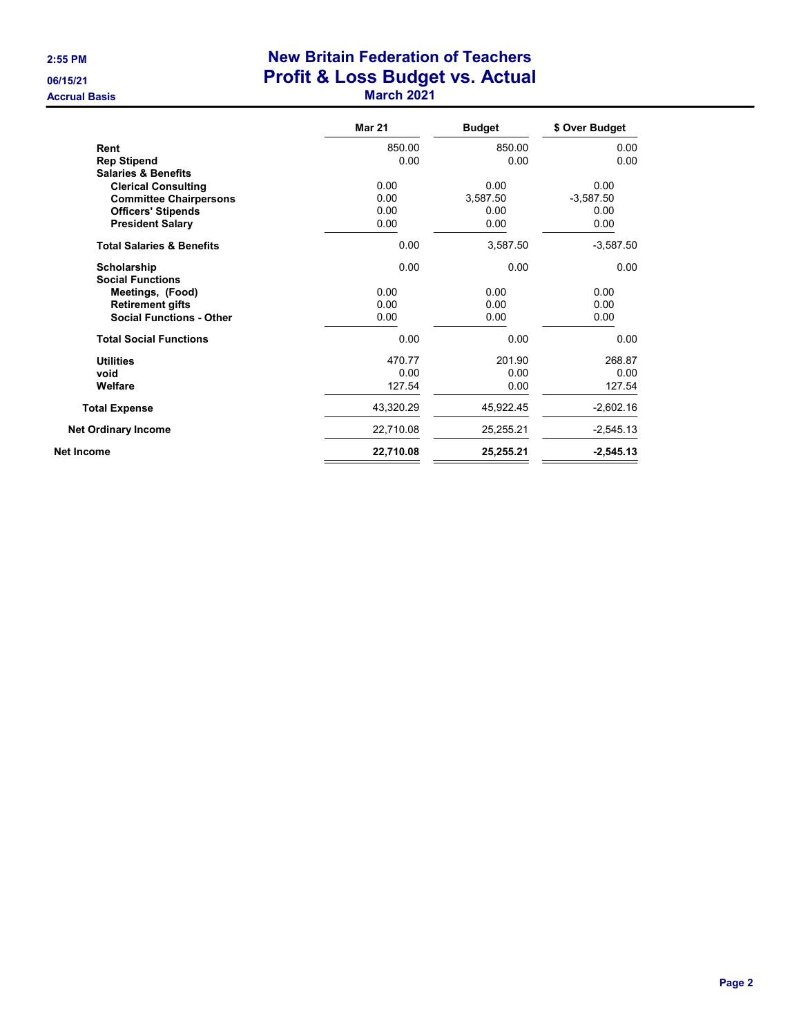## 2:55 PM New Britain Federation of Teachers 06/15/21 **Profit & Loss Budget vs. Actual** Accrual Basis **March 2021 March 2021**

|                                      | <b>Mar 21</b> | <b>Budget</b> | \$ Over Budget |
|--------------------------------------|---------------|---------------|----------------|
| Rent                                 | 850.00        | 850.00        | 0.00           |
| <b>Rep Stipend</b>                   | 0.00          | 0.00          | 0.00           |
| <b>Salaries &amp; Benefits</b>       |               |               |                |
| <b>Clerical Consulting</b>           | 0.00          | 0.00          | 0.00           |
| <b>Committee Chairpersons</b>        | 0.00          | 3,587.50      | $-3,587.50$    |
| <b>Officers' Stipends</b>            | 0.00          | 0.00          | 0.00           |
| <b>President Salary</b>              | 0.00          | 0.00          | 0.00           |
| <b>Total Salaries &amp; Benefits</b> | 0.00          | 3,587.50      | $-3,587.50$    |
| Scholarship                          | 0.00          | 0.00          | 0.00           |
| <b>Social Functions</b>              |               |               |                |
| Meetings, (Food)                     | 0.00          | 0.00          | 0.00           |
| <b>Retirement gifts</b>              | 0.00          | 0.00          | 0.00           |
| <b>Social Functions - Other</b>      | 0.00          | 0.00          | 0.00           |
| <b>Total Social Functions</b>        | 0.00          | 0.00          | 0.00           |
| <b>Utilities</b>                     | 470.77        | 201.90        | 268.87         |
| void                                 | 0.00          | 0.00          | 0.00           |
| Welfare                              | 127.54        | 0.00          | 127.54         |
| <b>Total Expense</b>                 | 43,320.29     | 45,922.45     | $-2,602.16$    |
| <b>Net Ordinary Income</b>           | 22,710.08     | 25,255.21     | $-2,545.13$    |
| <b>Net Income</b>                    | 22,710.08     | 25,255.21     | $-2,545.13$    |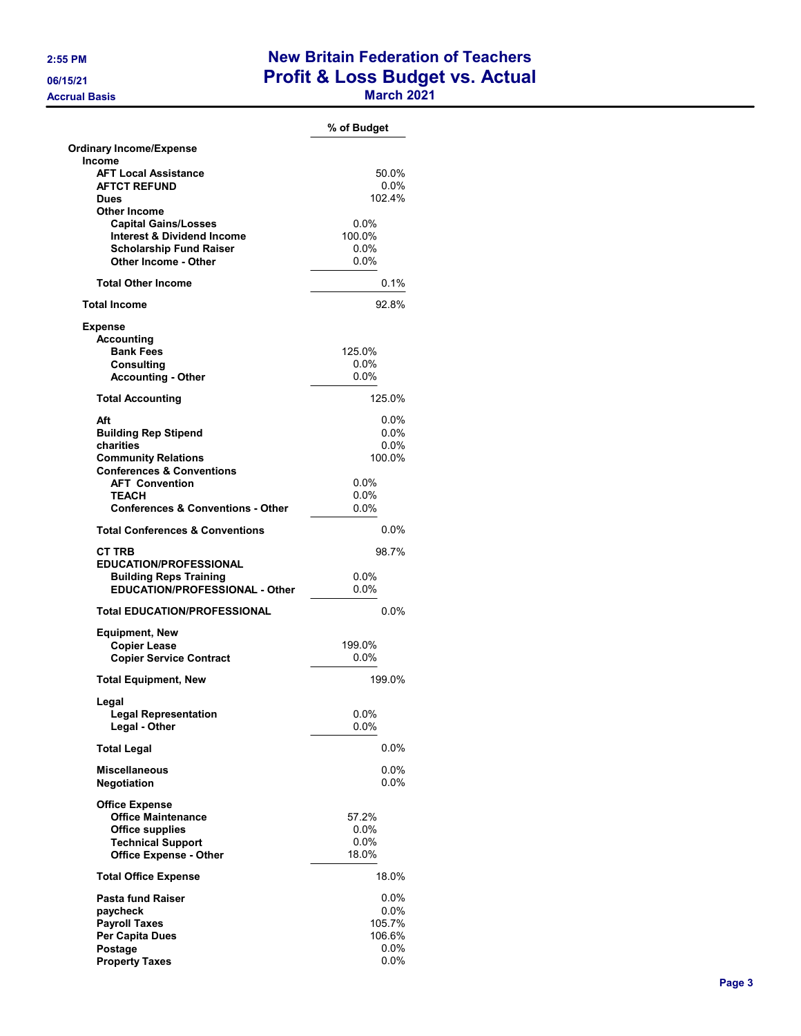## 2:55 PM New Britain Federation of Teachers 06/15/21 **Profit & Loss Budget vs. Actual** Accrual Basis **March 2021 March 2021**

|                                                                      | % of Budget        |
|----------------------------------------------------------------------|--------------------|
| <b>Ordinary Income/Expense</b>                                       |                    |
| <b>Income</b>                                                        |                    |
| <b>AFT Local Assistance</b>                                          | 50.0%              |
| <b>AFTCT REFUND</b>                                                  | $0.0\%$            |
| <b>Dues</b>                                                          | 102.4%             |
| <b>Other Income</b>                                                  | $0.0\%$            |
| <b>Capital Gains/Losses</b><br><b>Interest &amp; Dividend Income</b> | 100.0%             |
| <b>Scholarship Fund Raiser</b>                                       | $0.0\%$            |
| Other Income - Other                                                 | 0.0%               |
|                                                                      |                    |
| <b>Total Other Income</b>                                            | 0.1%               |
| <b>Total Income</b>                                                  | 92.8%              |
| <b>Expense</b>                                                       |                    |
| <b>Accounting</b>                                                    |                    |
| <b>Bank Fees</b>                                                     | 125.0%             |
| <b>Consulting</b>                                                    | $0.0\%$            |
| <b>Accounting - Other</b>                                            | $0.0\%$            |
| <b>Total Accounting</b>                                              | 125.0%             |
| Aft                                                                  | $0.0\%$            |
| <b>Building Rep Stipend</b>                                          | $0.0\%$            |
| charities                                                            | 0.0%               |
| <b>Community Relations</b>                                           | 100.0%             |
| <b>Conferences &amp; Conventions</b>                                 |                    |
| <b>AFT Convention</b>                                                | 0.0%               |
| <b>TEACH</b>                                                         | $0.0\%$            |
| <b>Conferences &amp; Conventions - Other</b>                         | 0.0%               |
| <b>Total Conferences &amp; Conventions</b>                           | $0.0\%$            |
| <b>CT TRB</b>                                                        | 98.7%              |
| <b>EDUCATION/PROFESSIONAL</b>                                        |                    |
| <b>Building Reps Training</b>                                        | $0.0\%$            |
| <b>EDUCATION/PROFESSIONAL - Other</b>                                | 0.0%               |
| <b>Total EDUCATION/PROFESSIONAL</b>                                  | 0.0%               |
| <b>Equipment, New</b>                                                |                    |
| <b>Copier Lease</b>                                                  | 199.0%             |
| <b>Copier Service Contract</b>                                       | $0.0\%$            |
| <b>Total Equipment, New</b>                                          | 199.0%             |
|                                                                      |                    |
| Legal<br><b>Legal Representation</b>                                 | 0.0%               |
| Legal - Other                                                        | $0.0\%$            |
| <b>Total Legal</b>                                                   | $0.0\%$            |
|                                                                      |                    |
| <b>Miscellaneous</b><br><b>Negotiation</b>                           | $0.0\%$<br>$0.0\%$ |
| <b>Office Expense</b>                                                |                    |
| <b>Office Maintenance</b>                                            | 57.2%              |
| <b>Office supplies</b>                                               | $0.0\%$            |
| <b>Technical Support</b>                                             | $0.0\%$            |
| <b>Office Expense - Other</b>                                        | 18.0%              |
| <b>Total Office Expense</b>                                          | 18.0%              |
| <b>Pasta fund Raiser</b>                                             | $0.0\%$            |
| paycheck                                                             | $0.0\%$            |
| <b>Payroll Taxes</b>                                                 | 105.7%             |
| Per Capita Dues                                                      | 106.6%             |
| Postage                                                              | $0.0\%$            |
| <b>Property Taxes</b>                                                | $0.0\%$            |
|                                                                      |                    |